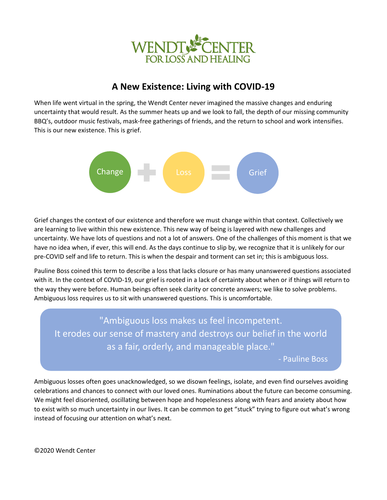

# **A New Existence: Living with COVID-19**

When life went virtual in the spring, the Wendt Center never imagined the massive changes and enduring uncertainty that would result. As the summer heats up and we look to fall, the depth of our missing community BBQ's, outdoor music festivals, mask-free gatherings of friends, and the return to school and work intensifies. This is our new existence. This is grief.



Grief changes the context of our existence and therefore we must change within that context. Collectively we are learning to live within this new existence. This new way of being is layered with new challenges and uncertainty. We have lots of questions and not a lot of answers. One of the challenges of this moment is that we have no idea when, if ever, this will end. As the days continue to slip by, we recognize that it is unlikely for our pre-COVID self and life to return. This is when the despair and torment can set in; this is ambiguous loss.

Pauline Boss coined this term to describe a loss that lacks closure or has many unanswered questions associated with it. In the context of COVID-19, our grief is rooted in a lack of certainty about when or if things will return to the way they were before. Human beings often seek clarity or concrete answers; we like to solve problems. Ambiguous loss requires us to sit with unanswered questions. This is uncomfortable.

"Ambiguous loss makes us feel incompetent. It erodes our sense of mastery and destroys our belief in the world as a fair, orderly, and manageable place."

- Pauline Boss

Ambiguous losses often goes unacknowledged, so we disown feelings, isolate, and even find ourselves avoiding celebrations and chances to connect with our loved ones. Ruminations about the future can become consuming. We might feel disoriented, oscillating between hope and hopelessness along with fears and anxiety about how to exist with so much uncertainty in our lives. It can be common to get "stuck" trying to figure out what's wrong instead of focusing our attention on what's next.

©2020 Wendt Center